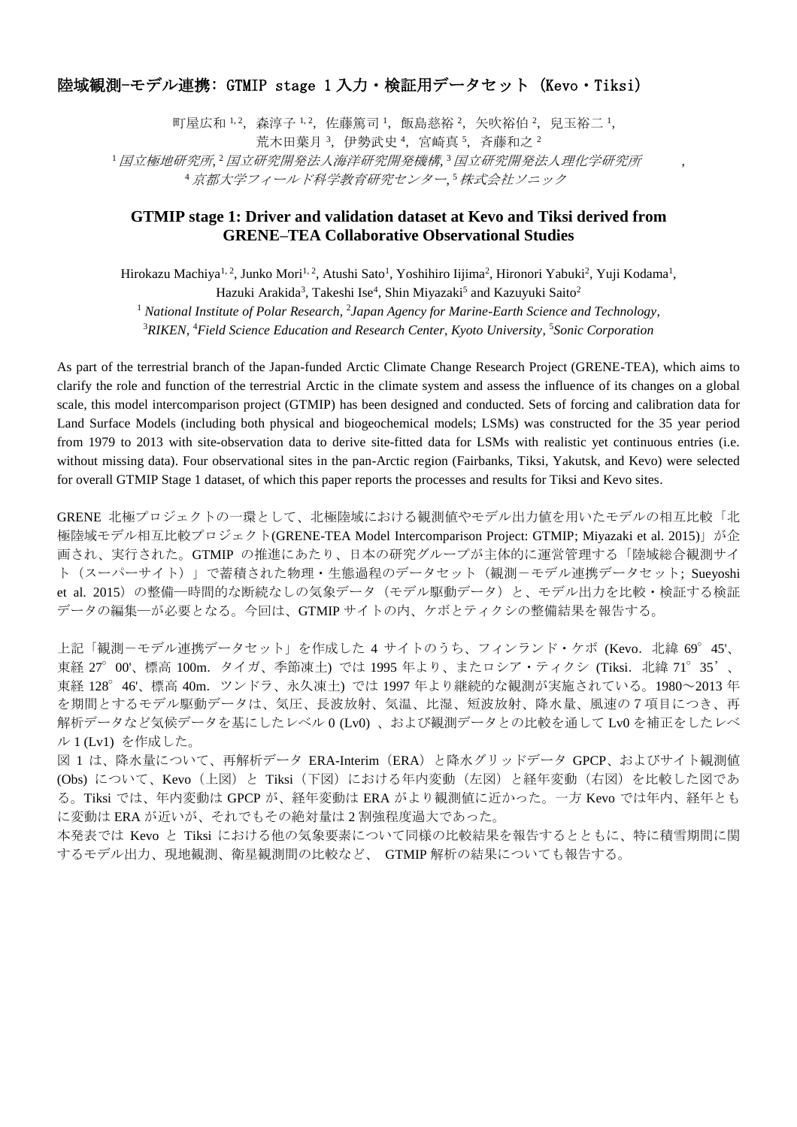## 陸域観測-モデル連携: GTMIP stage 1 入力・検証用データセット (Kevo・Tiksi)

町屋広和 1,2, 森淳子 1,2, 佐藤篤司 1, 飯島慈裕 2, 矢吹裕伯 2, 兒玉裕二 1, 荒木田葉月 3, 伊勢武史 4, 宮崎真 5, 斉藤和之 2

<sup>1</sup> 国立破邪,国立研究開発法人海洋研究開発機構,<sup>3</sup> 国立研究開発法人理化学研究所 , <sup>4</sup>京都大学フィールド科学教育研究センター*,*  <sup>5</sup>株式会社ソニック

## **GTMIP stage 1: Driver and validation dataset at Kevo and Tiksi derived from GRENE–TEA Collaborative Observational Studies**

Hirokazu Machiya<sup>1, 2</sup>, Junko Mori<sup>1, 2</sup>, Atushi Sato<sup>1</sup>, Yoshihiro Iijima<sup>2</sup>, Hironori Yabuki<sup>2</sup>, Yuji Kodama<sup>1</sup>, Hazuki Arakida<sup>3</sup>, Takeshi Ise<sup>4</sup>, Shin Miyazaki<sup>5</sup> and Kazuyuki Saito<sup>2</sup>

<sup>1</sup> National Institute of Polar Research, <sup>2</sup>Japan Agency for Marine-Earth Science and Technology,

<sup>3</sup>RIKEN, <sup>4</sup>Field Science Education and Research Center, Kyoto University, <sup>5</sup>Sonic Corporation

As part of the terrestrial branch of the Japan-funded Arctic Climate Change Research Project (GRENE-TEA), which aims to clarify the role and function of the terrestrial Arctic in the climate system and assess the influence of its changes on a global scale, this model intercomparison project (GTMIP) has been designed and conducted. Sets of forcing and calibration data for Land Surface Models (including both physical and biogeochemical models; LSMs) was constructed for the 35 year period from 1979 to 2013 with site-observation data to derive site-fitted data for LSMs with realistic yet continuous entries (i.e. without missing data). Four observational sites in the pan-Arctic region (Fairbanks, Tiksi, Yakutsk, and Kevo) were selected for overall GTMIP Stage 1 dataset, of which this paper reports the processes and results for Tiksi and Kevo sites.

GRENE 北極プロジェクトの一環として、北極陸域における観測値やモデル出力値を用いたモデルの相互比較「北 極陸域モデル相互比較プロジェクト(GRENE-TEA Model Intercomparison Project: GTMIP; Miyazaki et al. 2015)」が企 画され、実行された。GTMIP の推進にあたり、日本の研究グループが主体的に運営管理する「陸域総合観測サイ ト(スーパーサイト)」で蓄積された物理・生態過程のデータセット(観測-モデル連携データセット; Sueyoshi et al. 2015) の整備–時間的な断続なしの気象データ (モデル駆動データ) と、モデル出力を比較·検証する検証 データの編集―が必要となる。今回は、GTMIP サイトの内、ケボとティクシの整備結果を報告する。

上記「観測-モデル連携データセット」を作成した 4 サイトのうち、フィンランド・ケボ (Kevo. 北緯 69°45'、 東経 27°00'、標高 100m. タイガ、季節凍土) では 1995 年より、またロシア・ティクシ (Tiksi. 北緯 71°35'、 東経 128°46'、標高 40m. ツンドラ、永久凍土) では 1997 年より継続的な観測が実施されている。1980~2013 年 を期間とするモデル駆動データは、気圧、長波放射、気温、比湿、短波放射、降水量、風速の7項目につき、再 解析データなど気候データを基にしたレベル 0 (Lv0) 、および観測データとの比較を通して Lv0 を補正をしたレベ ル 1 (Lv1) を作成した。

図 1 は、降水量について、再解析データ ERA-Interim(ERA)と降水グリッドデータ GPCP、およびサイト観測値 (Obs) について、Kevo(上図)と Tiksi(下図)における年内変動(左図)と経年変動(右図)を比較した図であ る。Tiksi では、年内変動は GPCP が、経年変動は ERA がより観測値に近かった。一方 Kevo では年内、経年とも に変動は ERA が近いが、それでもその絶対量は 2 割強程度過大であった。

本発表では Kevo と Tiksi における他の気象要素について同様の比較結果を報告するとともに、特に積雪期間に関 するモデル出力、現地観測、衛星観測間の比較など、 GTMIP 解析の結果についても報告する。